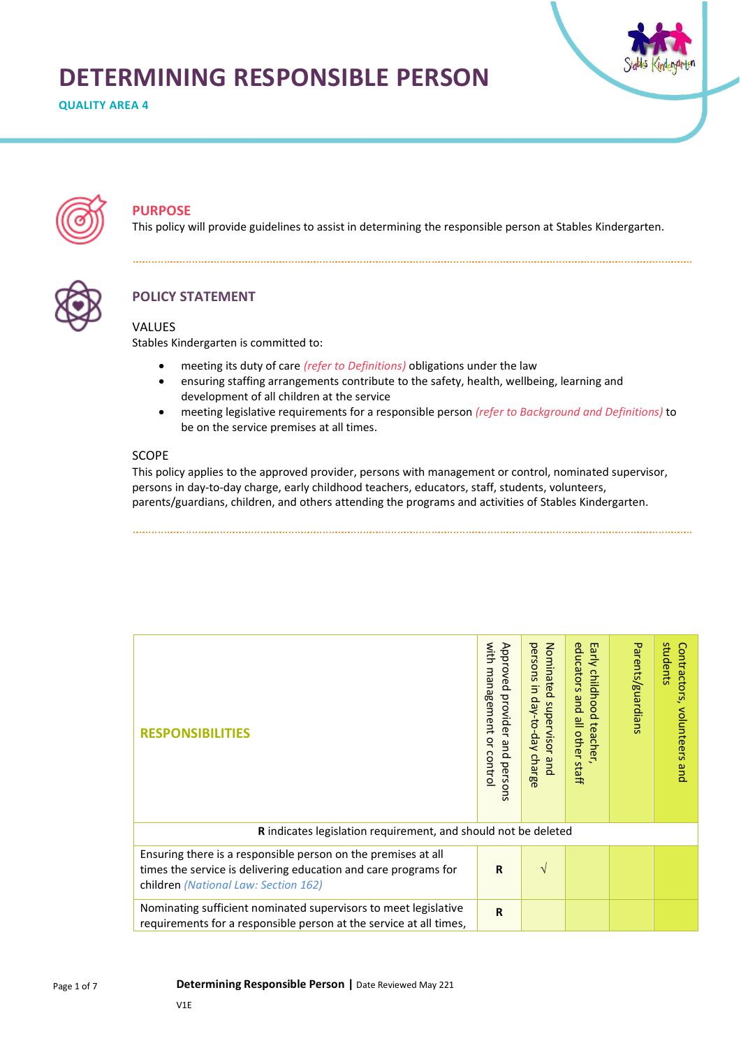# **DETERMINING RESPONSIBLE PERSON**

**QUALITY AREA 4**





# **PURPOSE**

This policy will provide guidelines to assist in determining the responsible person at Stables Kindergarten.



# **POLICY STATEMENT**

## VALUES

Stables Kindergarten is committed to:

- meeting its duty of care *(refer to Definitions)* obligations under the law
- ensuring staffing arrangements contribute to the safety, health, wellbeing, learning and development of all children at the service
- meeting legislative requirements for a responsible person *(refer to Background and Definitions)* to be on the service premises at all times.

## SCOPE

This policy applies to the approved provider, persons with management or control, nominated supervisor, persons in day-to-day charge, early childhood teachers, educators, staff, students, volunteers, parents/guardians, children, and others attending the programs and activities of Stables Kindergarten.

| <b>RESPONSIBILITIES</b>                                                                                                                                                  | with<br>Approved<br>management<br>provider and perso<br>ă<br>contro<br>ā | persons<br>Nominated<br>$\exists$<br>day-to-day<br>supervisor<br>charge<br>pue | educ<br>Early<br>suots<br>childhood<br>pue<br>all other<br>teacher<br>staff | Parents/guardians | students<br>Contractors,<br>volunteers<br>pue |  |
|--------------------------------------------------------------------------------------------------------------------------------------------------------------------------|--------------------------------------------------------------------------|--------------------------------------------------------------------------------|-----------------------------------------------------------------------------|-------------------|-----------------------------------------------|--|
| <b>R</b> indicates legislation requirement, and should not be deleted                                                                                                    |                                                                          |                                                                                |                                                                             |                   |                                               |  |
| Ensuring there is a responsible person on the premises at all<br>times the service is delivering education and care programs for<br>children (National Law: Section 162) | $\mathbf R$                                                              | V                                                                              |                                                                             |                   |                                               |  |
| Nominating sufficient nominated supervisors to meet legislative<br>requirements for a responsible person at the service at all times,                                    | $\mathbf R$                                                              |                                                                                |                                                                             |                   |                                               |  |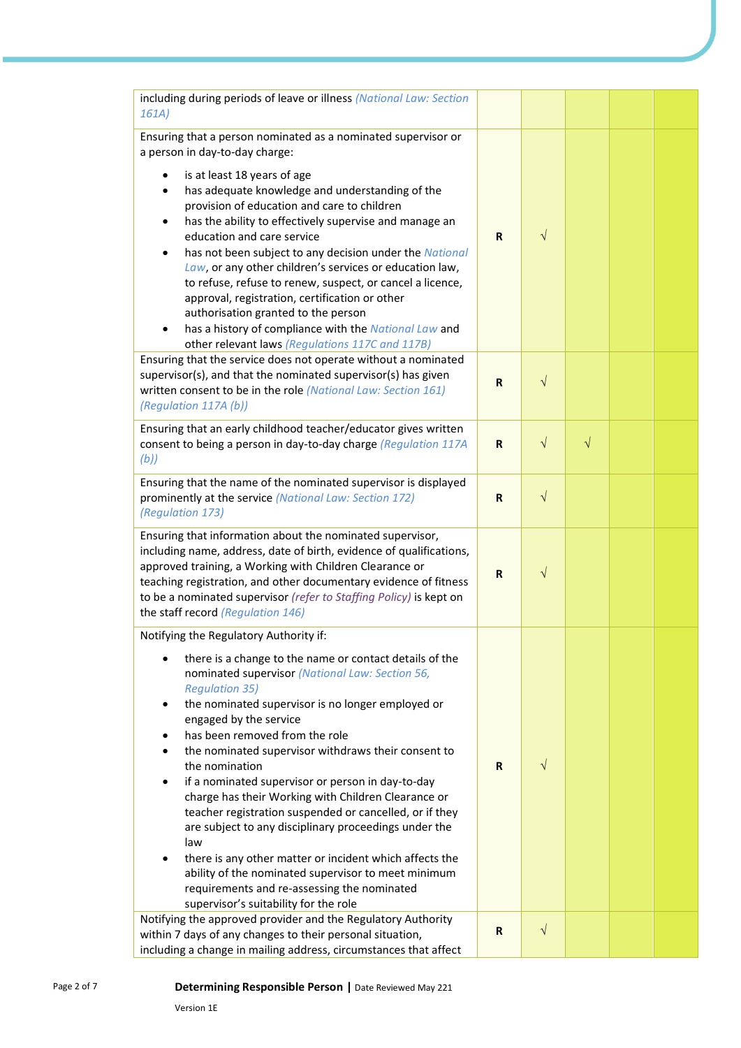| including during periods of leave or illness (National Law: Section<br>161A)                                                                                                                                                                                                                                                                                                                                                                                                                                                                                                                                                                                                                                                                                                                                                       |             |            |           |  |
|------------------------------------------------------------------------------------------------------------------------------------------------------------------------------------------------------------------------------------------------------------------------------------------------------------------------------------------------------------------------------------------------------------------------------------------------------------------------------------------------------------------------------------------------------------------------------------------------------------------------------------------------------------------------------------------------------------------------------------------------------------------------------------------------------------------------------------|-------------|------------|-----------|--|
| Ensuring that a person nominated as a nominated supervisor or<br>a person in day-to-day charge:                                                                                                                                                                                                                                                                                                                                                                                                                                                                                                                                                                                                                                                                                                                                    |             |            |           |  |
| is at least 18 years of age<br>٠<br>has adequate knowledge and understanding of the<br>٠<br>provision of education and care to children<br>has the ability to effectively supervise and manage an<br>$\bullet$<br>education and care service<br>has not been subject to any decision under the National<br>$\bullet$<br>Law, or any other children's services or education law,<br>to refuse, refuse to renew, suspect, or cancel a licence,<br>approval, registration, certification or other<br>authorisation granted to the person<br>has a history of compliance with the National Law and<br>$\bullet$<br>other relevant laws (Regulations 117C and 117B)                                                                                                                                                                     | R           | $\sqrt{}$  |           |  |
| Ensuring that the service does not operate without a nominated<br>supervisor(s), and that the nominated supervisor(s) has given<br>written consent to be in the role (National Law: Section 161)<br>(Regulation 117A (b))                                                                                                                                                                                                                                                                                                                                                                                                                                                                                                                                                                                                          | R           | $\sqrt{}$  |           |  |
| Ensuring that an early childhood teacher/educator gives written<br>consent to being a person in day-to-day charge (Regulation 117A<br>(b))                                                                                                                                                                                                                                                                                                                                                                                                                                                                                                                                                                                                                                                                                         | R           | $\sqrt{ }$ | $\sqrt{}$ |  |
| Ensuring that the name of the nominated supervisor is displayed<br>prominently at the service (National Law: Section 172)<br>(Regulation 173)                                                                                                                                                                                                                                                                                                                                                                                                                                                                                                                                                                                                                                                                                      | $\mathbf R$ | $\sqrt{ }$ |           |  |
| Ensuring that information about the nominated supervisor,<br>including name, address, date of birth, evidence of qualifications,<br>approved training, a Working with Children Clearance or<br>teaching registration, and other documentary evidence of fitness<br>to be a nominated supervisor (refer to Staffing Policy) is kept on<br>the staff record (Regulation 146)                                                                                                                                                                                                                                                                                                                                                                                                                                                         | $\mathbf R$ | $\sqrt{}$  |           |  |
| Notifying the Regulatory Authority if:                                                                                                                                                                                                                                                                                                                                                                                                                                                                                                                                                                                                                                                                                                                                                                                             |             |            |           |  |
| there is a change to the name or contact details of the<br>$\bullet$<br>nominated supervisor (National Law: Section 56,<br><b>Regulation 35)</b><br>the nominated supervisor is no longer employed or<br>$\bullet$<br>engaged by the service<br>has been removed from the role<br>the nominated supervisor withdraws their consent to<br>the nomination<br>if a nominated supervisor or person in day-to-day<br>$\bullet$<br>charge has their Working with Children Clearance or<br>teacher registration suspended or cancelled, or if they<br>are subject to any disciplinary proceedings under the<br>law<br>there is any other matter or incident which affects the<br>$\bullet$<br>ability of the nominated supervisor to meet minimum<br>requirements and re-assessing the nominated<br>supervisor's suitability for the role | R           | $\sqrt{}$  |           |  |
| Notifying the approved provider and the Regulatory Authority<br>within 7 days of any changes to their personal situation,                                                                                                                                                                                                                                                                                                                                                                                                                                                                                                                                                                                                                                                                                                          | R           | $\sqrt{ }$ |           |  |
| including a change in mailing address, circumstances that affect                                                                                                                                                                                                                                                                                                                                                                                                                                                                                                                                                                                                                                                                                                                                                                   |             |            |           |  |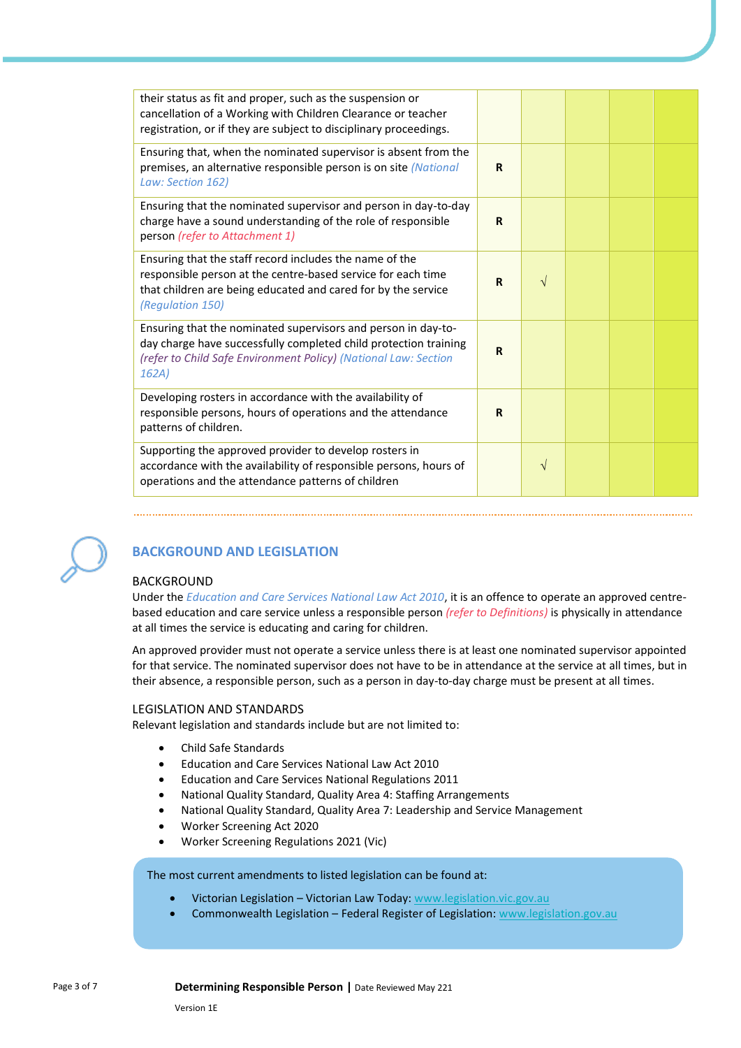| their status as fit and proper, such as the suspension or<br>cancellation of a Working with Children Clearance or teacher<br>registration, or if they are subject to disciplinary proceedings.                |             |           |  |  |
|---------------------------------------------------------------------------------------------------------------------------------------------------------------------------------------------------------------|-------------|-----------|--|--|
| Ensuring that, when the nominated supervisor is absent from the<br>premises, an alternative responsible person is on site (National<br>Law: Section 162)                                                      | R           |           |  |  |
| Ensuring that the nominated supervisor and person in day-to-day<br>charge have a sound understanding of the role of responsible<br>person (refer to Attachment 1)                                             | R           |           |  |  |
| Ensuring that the staff record includes the name of the<br>responsible person at the centre-based service for each time<br>that children are being educated and cared for by the service<br>(Regulation 150)  | $\mathbf R$ | $\sqrt{}$ |  |  |
| Ensuring that the nominated supervisors and person in day-to-<br>day charge have successfully completed child protection training<br>(refer to Child Safe Environment Policy) (National Law: Section<br>162A) | $\mathbf R$ |           |  |  |
| Developing rosters in accordance with the availability of<br>responsible persons, hours of operations and the attendance<br>patterns of children.                                                             | $\mathbf R$ |           |  |  |
| Supporting the approved provider to develop rosters in<br>accordance with the availability of responsible persons, hours of<br>operations and the attendance patterns of children                             |             | $\sqrt{}$ |  |  |



## **BACKGROUND AND LEGISLATION**

## BACKGROUND

Under the *Education and Care Services National Law Act 2010*, it is an offence to operate an approved centrebased education and care service unless a responsible person *(refer to Definitions)* is physically in attendance at all times the service is educating and caring for children.

An approved provider must not operate a service unless there is at least one nominated supervisor appointed for that service. The nominated supervisor does not have to be in attendance at the service at all times, but in their absence, a responsible person, such as a person in day-to-day charge must be present at all times.

#### LEGISLATION AND STANDARDS

Relevant legislation and standards include but are not limited to:

- Child Safe Standards
- Education and Care Services National Law Act 2010
- Education and Care Services National Regulations 2011
- National Quality Standard, Quality Area 4: Staffing Arrangements
- National Quality Standard, Quality Area 7: Leadership and Service Management
- Worker Screening Act 2020
- Worker Screening Regulations 2021 (Vic)

The most current amendments to listed legislation can be found at:

- Victorian Legislation Victorian Law Today: [www.legislation.vic.gov.au](http://www.legislation.vic.gov.au/)
- Commonwealth Legislation Federal Register of Legislation: [www.legislation.gov.au](http://www.legislation.gov.au/)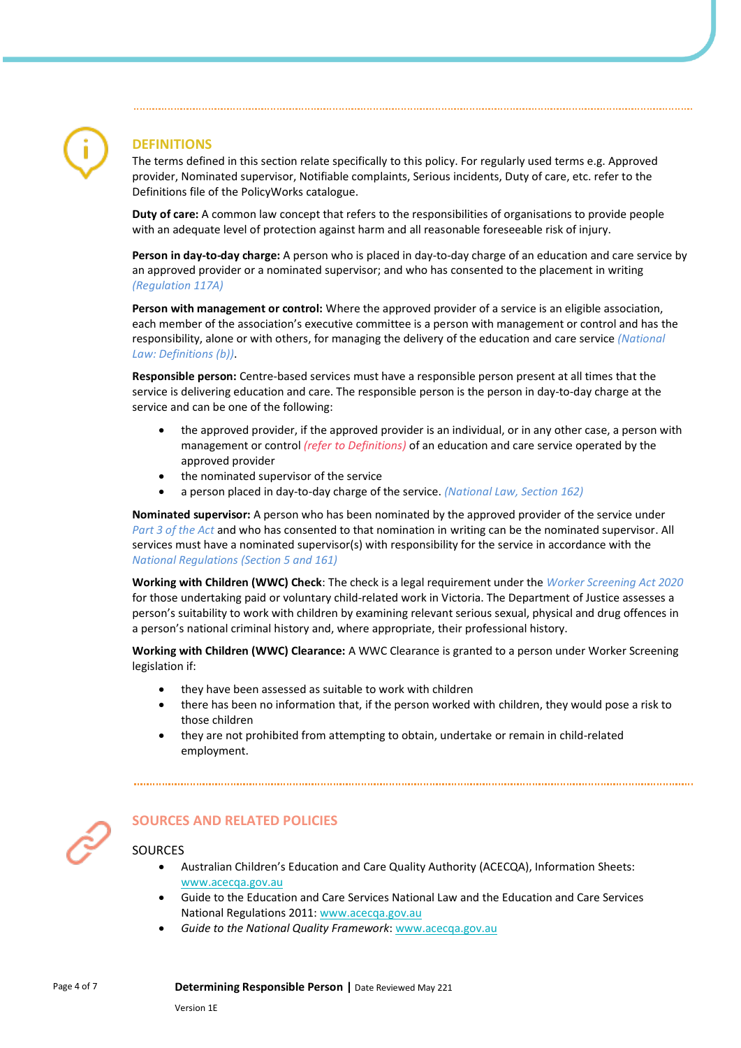# **DEFINITIONS**

The terms defined in this section relate specifically to this policy. For regularly used terms e.g. Approved provider, Nominated supervisor, Notifiable complaints, Serious incidents, Duty of care, etc. refer to the Definitions file of the PolicyWorks catalogue.

**Duty of care:** A common law concept that refers to the responsibilities of organisations to provide people with an adequate level of protection against harm and all reasonable foreseeable risk of injury.

**Person in day-to-day charge:** A person who is placed in day-to-day charge of an education and care service by an approved provider or a nominated supervisor; and who has consented to the placement in writing *(Regulation 117A)*

**Person with management or control:** Where the approved provider of a service is an eligible association, each member of the association's executive committee is a person with management or control and has the responsibility, alone or with others, for managing the delivery of the education and care service *(National Law: Definitions (b))*.

**Responsible person:** Centre-based services must have a responsible person present at all times that the service is delivering education and care. The responsible person is the person in day-to-day charge at the service and can be one of the following:

- the approved provider, if the approved provider is an individual, or in any other case, a person with management or control *(refer to Definitions)* of an education and care service operated by the approved provider
- the nominated supervisor of the service
- a person placed in day-to-day charge of the service. *(National Law, Section 162)*

**Nominated supervisor:** A person who has been nominated by the approved provider of the service under *Part 3 of the Act* and who has consented to that nomination in writing can be the nominated supervisor. All services must have a nominated supervisor(s) with responsibility for the service in accordance with the *National Regulations (Section 5 and 161)*

**Working with Children (WWC) Check**: The check is a legal requirement under the *Worker Screening Act 2020*  for those undertaking paid or voluntary child-related work in Victoria. The Department of Justice assesses a person's suitability to work with children by examining relevant serious sexual, physical and drug offences in a person's national criminal history and, where appropriate, their professional history.

**Working with Children (WWC) Clearance:** A WWC Clearance is granted to a person under Worker Screening legislation if:

- they have been assessed as suitable to work with children
- there has been no information that, if the person worked with children, they would pose a risk to those children
- they are not prohibited from attempting to obtain, undertake or remain in child-related employment.



# **SOURCES AND RELATED POLICIES**

## **SOURCES**

- Australian Children's Education and Care Quality Authority (ACECQA), Information Sheets: [www.acecqa.gov.au](http://www.acecqa.gov.au/)
- Guide to the Education and Care Services National Law and the Education and Care Services National Regulations 2011: [www.acecqa.gov.au](http://www.acecqa.gov.au/)
- *Guide to the National Quality Framework*[: www.acecqa.gov.au](http://www.acecqa.gov.au/)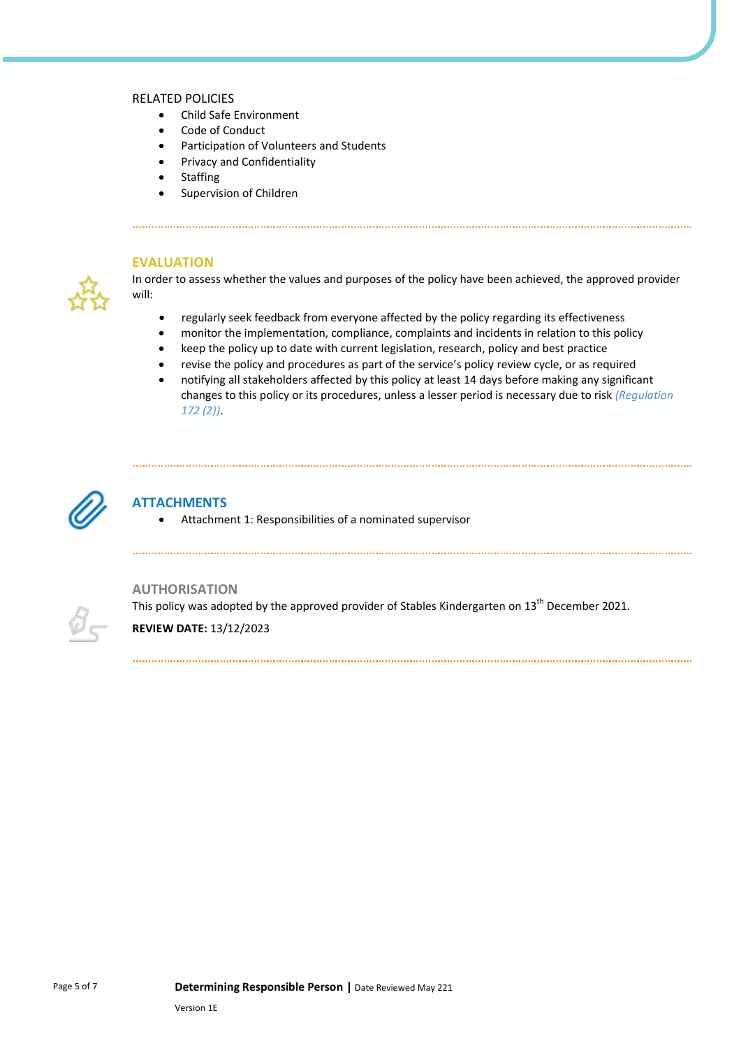#### RELATED POLICIES

- Child Safe Environment
- Code of Conduct
- Participation of Volunteers and Students
- Privacy and Confidentiality
- Staffing
- Supervision of Children



## **EVALUATION**

In order to assess whether the values and purposes of the policy have been achieved, the approved provider will:

- regularly seek feedback from everyone affected by the policy regarding its effectiveness
- monitor the implementation, compliance, complaints and incidents in relation to this policy
- keep the policy up to date with current legislation, research, policy and best practice
- revise the policy and procedures as part of the service's policy review cycle, or as required
- notifying all stakeholders affected by this policy at least 14 days before making any significant changes to this policy or its procedures, unless a lesser period is necessary due to risk *(Regulation 172 (2))*.



## **ATTACHMENTS**

• Attachment 1: Responsibilities of a nominated supervisor



## **AUTHORISATION**

This policy was adopted by the approved provider of Stables Kindergarten on 13<sup>th</sup> December 2021.

**REVIEW DATE:** 13/12/2023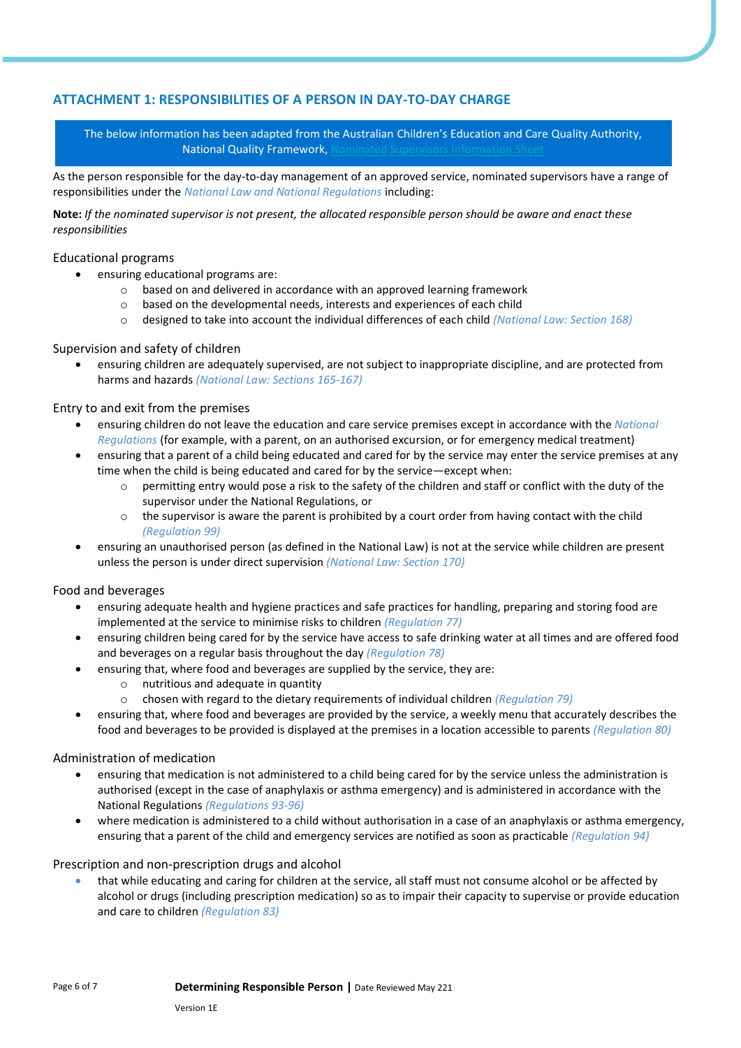## **ATTACHMENT 1: RESPONSIBILITIES OF A PERSON IN DAY-TO-DAY CHARGE**

The below information has been adapted from the Australian Children's Education and Care Quality Authority, National Quality Framework.

As the person responsible for the day-to-day management of an approved service, nominated supervisors have a range of responsibilities under the *National Law and National Regulations* including:

**Note:** *If the nominated supervisor is not present, the allocated responsible person should be aware and enact these responsibilities*

#### Educational programs

- ensuring educational programs are:
	- o based on and delivered in accordance with an approved learning framework
	- o based on the developmental needs, interests and experiences of each child
	- o designed to take into account the individual differences of each child *(National Law: Section 168)*

Supervision and safety of children

• ensuring children are adequately supervised, are not subject to inappropriate discipline, and are protected from harms and hazards *(National Law: Sections 165-167)*

## Entry to and exit from the premises

- ensuring children do not leave the education and care service premises except in accordance with the *National Regulations* (for example, with a parent, on an authorised excursion, or for emergency medical treatment)
- ensuring that a parent of a child being educated and cared for by the service may enter the service premises at any time when the child is being educated and cared for by the service—except when:
	- permitting entry would pose a risk to the safety of the children and staff or conflict with the duty of the supervisor under the National Regulations, or
	- $\circ$  the supervisor is aware the parent is prohibited by a court order from having contact with the child *(Regulation 99)*
- ensuring an unauthorised person (as defined in the National Law) is not at the service while children are present unless the person is under direct supervision *(National Law: Section 170)*

#### Food and beverages

- ensuring adequate health and hygiene practices and safe practices for handling, preparing and storing food are implemented at the service to minimise risks to children *(Regulation 77)*
- ensuring children being cared for by the service have access to safe drinking water at all times and are offered food and beverages on a regular basis throughout the day *(Regulation 78)*
- ensuring that, where food and beverages are supplied by the service, they are:
	- o nutritious and adequate in quantity
	- o chosen with regard to the dietary requirements of individual children *(Regulation 79)*
- ensuring that, where food and beverages are provided by the service, a weekly menu that accurately describes the food and beverages to be provided is displayed at the premises in a location accessible to parents *(Regulation 80)*

## Administration of medication

- ensuring that medication is not administered to a child being cared for by the service unless the administration is authorised (except in the case of anaphylaxis or asthma emergency) and is administered in accordance with the National Regulations *(Regulations 93-96)*
- where medication is administered to a child without authorisation in a case of an anaphylaxis or asthma emergency, ensuring that a parent of the child and emergency services are notified as soon as practicable *(Regulation 94)*

## Prescription and non-prescription drugs and alcohol

• that while educating and caring for children at the service, all staff must not consume alcohol or be affected by alcohol or drugs (including prescription medication) so as to impair their capacity to supervise or provide education and care to children *(Regulation 83)*